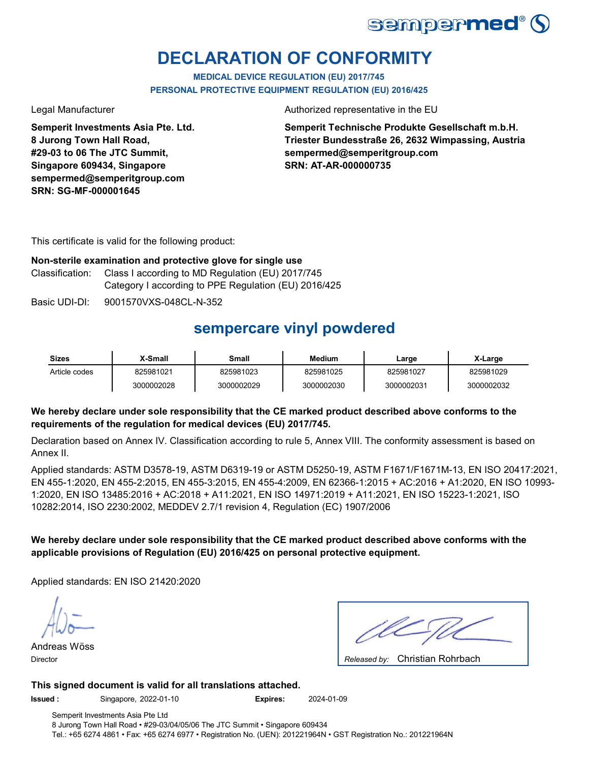

# **DECLARATION OF CONFORMITY**

**MEDICAL DEVICE REGULATION (EU) 2017/745 PERSONAL PROTECTIVE EQUIPMENT REGULATION (EU) 2016/425**

**Semperit Investments Asia Pte. Ltd. 8 Jurong Town Hall Road, #29-03 to 06 The JTC Summit, Singapore 609434, Singapore sempermed@semperitgroup.com SRN: SG-MF-000001645**

Legal Manufacturer **Authorized representative in the EU** 

**Semperit Technische Produkte Gesellschaft m.b.H. Triester Bundesstraße 26, 2632 Wimpassing, Austria sempermed@semperitgroup.com SRN: AT-AR-000000735**

This certificate is valid for the following product:

#### **Non-sterile examination and protective glove for single use**

Classification: Class I according to MD Regulation (EU) 2017/745 Category I according to PPE Regulation (EU) 2016/425

Basic UDI-DI: 9001570VXS-048CL-N-352

## **sempercare vinyl powdered**

| Sizes         | X-Small    | Small      | Medium     | Large      | X-Large    |
|---------------|------------|------------|------------|------------|------------|
| Article codes | 825981021  | 825981023  | 825981025  | 825981027  | 825981029  |
|               | 3000002028 | 3000002029 | 3000002030 | 3000002031 | 3000002032 |

### **We hereby declare under sole responsibility that the CE marked product described above conforms to the requirements of the regulation for medical devices (EU) 2017/745.**

Declaration based on Annex IV. Classification according to rule 5, Annex VIII. The conformity assessment is based on Annex II.

Applied standards: ASTM D3578-19, ASTM D6319-19 or ASTM D5250-19, ASTM F1671/F1671M-13, EN ISO 20417:2021, EN 455-1:2020, EN 455-2:2015, EN 455-3:2015, EN 455-4:2009, EN 62366-1:2015 + AC:2016 + A1:2020, EN ISO 10993- 1:2020, EN ISO 13485:2016 + AC:2018 + A11:2021, EN ISO 14971:2019 + A11:2021, EN ISO 15223-1:2021, ISO 10282:2014, ISO 2230:2002, MEDDEV 2.7/1 revision 4, Regulation (EC) 1907/2006

### **We hereby declare under sole responsibility that the CE marked product described above conforms with the applicable provisions of Regulation (EU) 2016/425 on personal protective equipment.**

Applied standards: EN ISO 21420:2020

Andreas Wöss Director **Released by: Released by: Released by: Released by: Released by: Released by: Released by: Released by: Released by: Released by: Released by: Released by: Released by: Released by: Re** 

Christian Rohrbach

#### **This signed document is valid for all translations attached.**

**Issued :** Singapore, 2022-01-10 **Expires:** 2024-01-09

Semperit Investments Asia Pte Ltd 8 Jurong Town Hall Road • #29-03/04/05/06 The JTC Summit • Singapore 609434 Tel.: +65 6274 4861 • Fax: +65 6274 6977 • Registration No. (UEN): 201221964N • GST Registration No.: 201221964N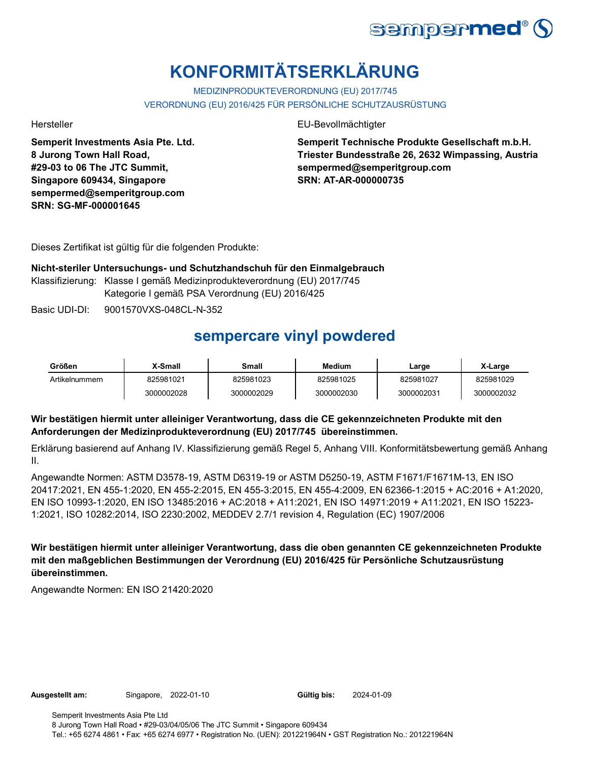

# **KONFORMITÄTSERKLÄRUNG**

MEDIZINPRODUKTEVERORDNUNG (EU) 2017/745 VERORDNUNG (EU) 2016/425 FÜR PERSÖNLICHE SCHUTZAUSRÜSTUNG

**Semperit Investments Asia Pte. Ltd. 8 Jurong Town Hall Road, #29-03 to 06 The JTC Summit, Singapore 609434, Singapore sempermed@semperitgroup.com SRN: SG-MF-000001645**

Hersteller EU-Bevollmächtigter

**Semperit Technische Produkte Gesellschaft m.b.H. Triester Bundesstraße 26, 2632 Wimpassing, Austria sempermed@semperitgroup.com SRN: AT-AR-000000735**

Dieses Zertifikat ist gültig für die folgenden Produkte:

**Nicht-steriler Untersuchungs- und Schutzhandschuh für den Einmalgebrauch** Klassifizierung: Klasse I gemäß Medizinprodukteverordnung (EU) 2017/745 Kategorie I gemäß PSA Verordnung (EU) 2016/425

Basic UDI-DI: 9001570VXS-048CL-N-352

# **sempercare vinyl powdered**

| Größen         | X-Small    | Small      | Medium     | Large      | X-Large    |
|----------------|------------|------------|------------|------------|------------|
| Artikelnummern | 825981021  | 825981023  | 825981025  | 825981027  | 825981029  |
|                | 3000002028 | 3000002029 | 3000002030 | 3000002031 | 3000002032 |

### **Wir bestätigen hiermit unter alleiniger Verantwortung, dass die CE gekennzeichneten Produkte mit den Anforderungen der Medizinprodukteverordnung (EU) 2017/745 übereinstimmen.**

Erklärung basierend auf Anhang IV. Klassifizierung gemäß Regel 5, Anhang VIII. Konformitätsbewertung gemäß Anhang II.

Angewandte Normen: ASTM D3578-19, ASTM D6319-19 or ASTM D5250-19, ASTM F1671/F1671M-13, EN ISO 20417:2021, EN 455-1:2020, EN 455-2:2015, EN 455-3:2015, EN 455-4:2009, EN 62366-1:2015 + AC:2016 + A1:2020, EN ISO 10993-1:2020, EN ISO 13485:2016 + AC:2018 + A11:2021, EN ISO 14971:2019 + A11:2021, EN ISO 15223- 1:2021, ISO 10282:2014, ISO 2230:2002, MEDDEV 2.7/1 revision 4, Regulation (EC) 1907/2006

**Wir bestätigen hiermit unter alleiniger Verantwortung, dass die oben genannten CE gekennzeichneten Produkte mit den maßgeblichen Bestimmungen der Verordnung (EU) 2016/425 für Persönliche Schutzausrüstung übereinstimmen.**

Angewandte Normen: EN ISO 21420:2020

**Ausgestellt am:** Singapore, 2022-01-10 **Gültig bis:** 2024-01-09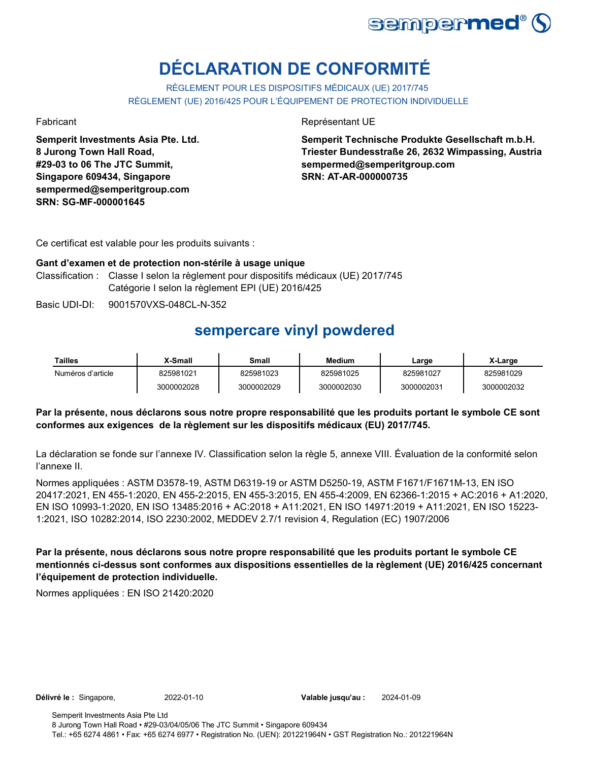

# **DÉCLARATION DE CONFORMITÉ**

RÈGLEMENT POUR LES DISPOSITIFS MÉDICAUX (UE) 2017/745 RÈGLEMENT (UE) 2016/425 POUR L'ÉQUIPEMENT DE PROTECTION INDIVIDUELLE

**Semperit Investments Asia Pte. Ltd. 8 Jurong Town Hall Road, #29-03 to 06 The JTC Summit, Singapore 609434, Singapore sempermed@semperitgroup.com SRN: SG-MF-000001645**

Fabricant **Représentant UE** 

**Semperit Technische Produkte Gesellschaft m.b.H. Triester Bundesstraße 26, 2632 Wimpassing, Austria sempermed@semperitgroup.com SRN: AT-AR-000000735**

Ce certificat est valable pour les produits suivants :

#### Classification : Classe I selon la règlement pour dispositifs médicaux (UE) 2017/745 Catégorie I selon la règlement EPI (UE) 2016/425 **Gant d'examen et de protection non-stérile à usage unique**

Basic UDI-DI: 9001570VXS-048CL-N-352

## **sempercare vinyl powdered**

| Tailles           | X-Small    | Small      | Medium     | ∟arge      | X-Large    |
|-------------------|------------|------------|------------|------------|------------|
| Numéros d'article | 825981021  | 825981023  | 825981025  | 825981027  | 825981029  |
|                   | 3000002028 | 3000002029 | 3000002030 | 3000002031 | 3000002032 |

#### **Par la présente, nous déclarons sous notre propre responsabilité que les produits portant le symbole CE sont conformes aux exigences de la règlement sur les dispositifs médicaux (EU) 2017/745.**

La déclaration se fonde sur l'annexe IV. Classification selon la règle 5, annexe VIII. Évaluation de la conformité selon l'annexe II.

Normes appliquées : ASTM D3578-19, ASTM D6319-19 or ASTM D5250-19, ASTM F1671/F1671M-13, EN ISO 20417:2021, EN 455-1:2020, EN 455-2:2015, EN 455-3:2015, EN 455-4:2009, EN 62366-1:2015 + AC:2016 + A1:2020, EN ISO 10993-1:2020, EN ISO 13485:2016 + AC:2018 + A11:2021, EN ISO 14971:2019 + A11:2021, EN ISO 15223- 1:2021, ISO 10282:2014, ISO 2230:2002, MEDDEV 2.7/1 revision 4, Regulation (EC) 1907/2006

**Par la présente, nous déclarons sous notre propre responsabilité que les produits portant le symbole CE mentionnés ci-dessus sont conformes aux dispositions essentielles de la règlement (UE) 2016/425 concernant l'équipement de protection individuelle.**

Normes appliquées : EN ISO 21420:2020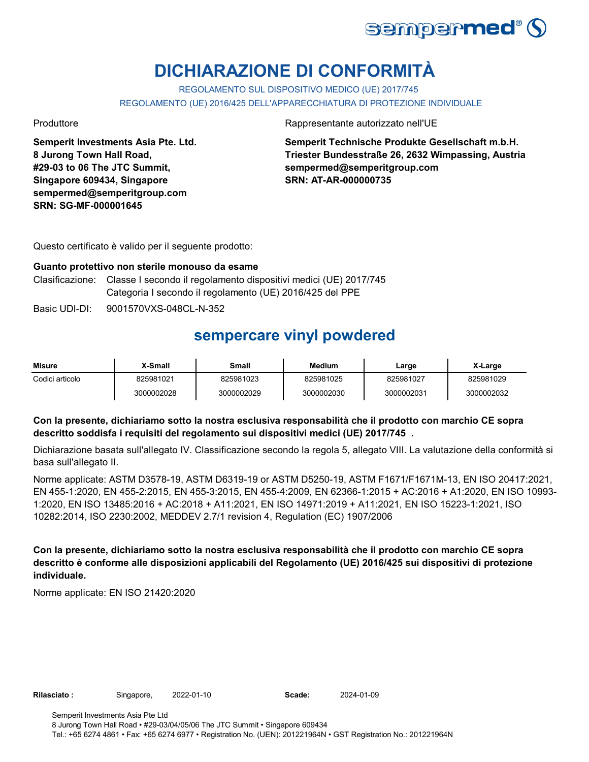

# **DICHIARAZIONE DI CONFORMITÀ**

REGOLAMENTO SUL DISPOSITIVO MEDICO (UE) 2017/745 REGOLAMENTO (UE) 2016/425 DELL'APPARECCHIATURA DI PROTEZIONE INDIVIDUALE

**Semperit Investments Asia Pte. Ltd. 8 Jurong Town Hall Road, #29-03 to 06 The JTC Summit, Singapore 609434, Singapore sempermed@semperitgroup.com SRN: SG-MF-000001645**

Produttore **Rappresentante autorizzato nell'UE** 

**Semperit Technische Produkte Gesellschaft m.b.H. Triester Bundesstraße 26, 2632 Wimpassing, Austria sempermed@semperitgroup.com SRN: AT-AR-000000735**

Questo certificato è valido per il seguente prodotto:

#### **Guanto protettivo non sterile monouso da esame**

- Clasificazione: Classe I secondo il regolamento dispositivi medici (UE) 2017/745 Categoria I secondo il regolamento (UE) 2016/425 del PPE
- Basic UDI-DI: 9001570VXS-048CL-N-352

## **sempercare vinyl powdered**

| Misure          | <b>X-Small</b> | Small      | Medium     | ∟arge      | X-Large    |
|-----------------|----------------|------------|------------|------------|------------|
| Codici articolo | 825981021      | 825981023  | 825981025  | 825981027  | 825981029  |
|                 | 3000002028     | 3000002029 | 3000002030 | 3000002031 | 3000002032 |

### **Con la presente, dichiariamo sotto la nostra esclusiva responsabilità che il prodotto con marchio CE sopra descritto soddisfa i requisiti del regolamento sui dispositivi medici (UE) 2017/745 .**

Dichiarazione basata sull'allegato IV. Classificazione secondo la regola 5, allegato VIII. La valutazione della conformità si basa sull'allegato II.

Norme applicate: ASTM D3578-19, ASTM D6319-19 or ASTM D5250-19, ASTM F1671/F1671M-13, EN ISO 20417:2021, EN 455-1:2020, EN 455-2:2015, EN 455-3:2015, EN 455-4:2009, EN 62366-1:2015 + AC:2016 + A1:2020, EN ISO 10993- 1:2020, EN ISO 13485:2016 + AC:2018 + A11:2021, EN ISO 14971:2019 + A11:2021, EN ISO 15223-1:2021, ISO 10282:2014, ISO 2230:2002, MEDDEV 2.7/1 revision 4, Regulation (EC) 1907/2006

**Con la presente, dichiariamo sotto la nostra esclusiva responsabilità che il prodotto con marchio CE sopra descritto è conforme alle disposizioni applicabili del Regolamento (UE) 2016/425 sui dispositivi di protezione individuale.**

Norme applicate: EN ISO 21420:2020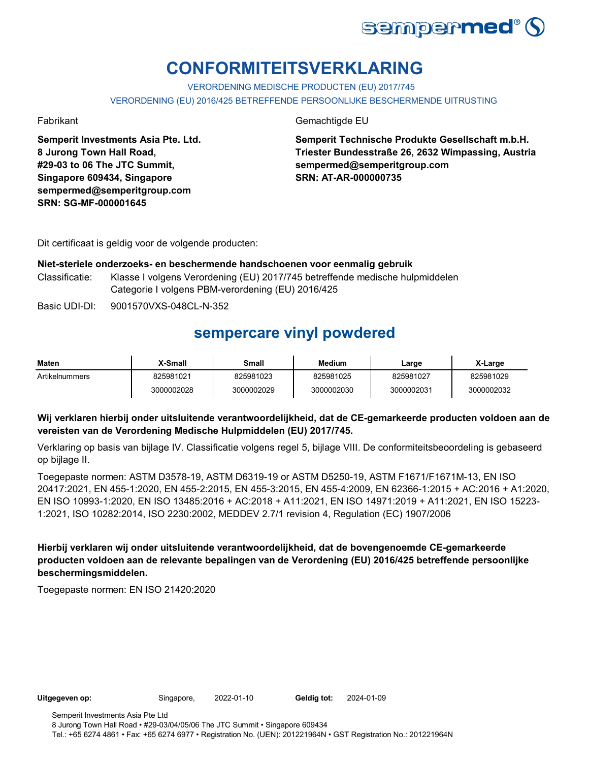

# **CONFORMITEITSVERKLARING**

VERORDENING MEDISCHE PRODUCTEN (EU) 2017/745 VERORDENING (EU) 2016/425 BETREFFENDE PERSOONLIJKE BESCHERMENDE UITRUSTING

**Semperit Investments Asia Pte. Ltd. 8 Jurong Town Hall Road, #29-03 to 06 The JTC Summit, Singapore 609434, Singapore sempermed@semperitgroup.com SRN: SG-MF-000001645**

Fabrikant Gemachtigde EU

**Semperit Technische Produkte Gesellschaft m.b.H. Triester Bundesstraße 26, 2632 Wimpassing, Austria sempermed@semperitgroup.com SRN: AT-AR-000000735**

Dit certificaat is geldig voor de volgende producten:

#### **Niet-steriele onderzoeks- en beschermende handschoenen voor eenmalig gebruik**

Classificatie: Klasse I volgens Verordening (EU) 2017/745 betreffende medische hulpmiddelen Categorie I volgens PBM-verordening (EU) 2016/425

Basic UDI-DI: 9001570VXS-048CL-N-352

### **sempercare vinyl powdered**

| Maten          | X-Small    | Small      | <b>Medium</b> | Large      | X-Large    |
|----------------|------------|------------|---------------|------------|------------|
| Artikelnummers | 825981021  | 825981023  | 825981025     | 825981027  | 825981029  |
|                | 3000002028 | 3000002029 | 3000002030    | 3000002031 | 3000002032 |

### **Wij verklaren hierbij onder uitsluitende verantwoordelijkheid, dat de CE-gemarkeerde producten voldoen aan de vereisten van de Verordening Medische Hulpmiddelen (EU) 2017/745.**

Verklaring op basis van bijlage IV. Classificatie volgens regel 5, bijlage VIII. De conformiteitsbeoordeling is gebaseerd op bijlage II.

Toegepaste normen: ASTM D3578-19, ASTM D6319-19 or ASTM D5250-19, ASTM F1671/F1671M-13, EN ISO 20417:2021, EN 455-1:2020, EN 455-2:2015, EN 455-3:2015, EN 455-4:2009, EN 62366-1:2015 + AC:2016 + A1:2020, EN ISO 10993-1:2020, EN ISO 13485:2016 + AC:2018 + A11:2021, EN ISO 14971:2019 + A11:2021, EN ISO 15223- 1:2021, ISO 10282:2014, ISO 2230:2002, MEDDEV 2.7/1 revision 4, Regulation (EC) 1907/2006

**Hierbij verklaren wij onder uitsluitende verantwoordelijkheid, dat de bovengenoemde CE-gemarkeerde producten voldoen aan de relevante bepalingen van de Verordening (EU) 2016/425 betreffende persoonlijke beschermingsmiddelen.**

Toegepaste normen: EN ISO 21420:2020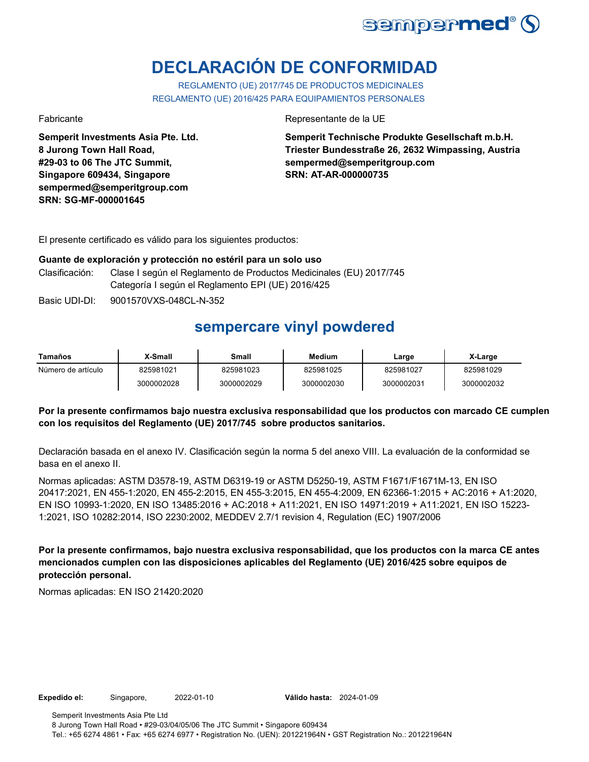

# **DECLARACIÓN DE CONFORMIDAD**

REGLAMENTO (UE) 2017/745 DE PRODUCTOS MEDICINALES REGLAMENTO (UE) 2016/425 PARA EQUIPAMIENTOS PERSONALES

**Semperit Investments Asia Pte. Ltd. 8 Jurong Town Hall Road, #29-03 to 06 The JTC Summit, Singapore 609434, Singapore sempermed@semperitgroup.com SRN: SG-MF-000001645**

Fabricante de la UE estado e a contra el estado en el Representante de la UE

**Semperit Technische Produkte Gesellschaft m.b.H. Triester Bundesstraße 26, 2632 Wimpassing, Austria sempermed@semperitgroup.com SRN: AT-AR-000000735**

El presente certificado es válido para los siguientes productos:

#### **Guante de exploración y protección no estéril para un solo uso**

- Clasificación: Clase I según el Reglamento de Productos Medicinales (EU) 2017/745 Categoría I según el Reglamento EPI (UE) 2016/425
- Basic UDI-DI: 9001570VXS-048CL-N-352

### **sempercare vinyl powdered**

| Tamaños            | K-Small    | Small      | Medium     | Large      | X-Large    |
|--------------------|------------|------------|------------|------------|------------|
| Número de artículo | 825981021  | 825981023  | 825981025  | 825981027  | 825981029  |
|                    | 3000002028 | 3000002029 | 3000002030 | 3000002031 | 3000002032 |

### **Por la presente confirmamos bajo nuestra exclusiva responsabilidad que los productos con marcado CE cumplen con los requisitos del Reglamento (UE) 2017/745 sobre productos sanitarios.**

Declaración basada en el anexo IV. Clasificación según la norma 5 del anexo VIII. La evaluación de la conformidad se basa en el anexo II.

Normas aplicadas: ASTM D3578-19, ASTM D6319-19 or ASTM D5250-19, ASTM F1671/F1671M-13, EN ISO 20417:2021, EN 455-1:2020, EN 455-2:2015, EN 455-3:2015, EN 455-4:2009, EN 62366-1:2015 + AC:2016 + A1:2020, EN ISO 10993-1:2020, EN ISO 13485:2016 + AC:2018 + A11:2021, EN ISO 14971:2019 + A11:2021, EN ISO 15223- 1:2021, ISO 10282:2014, ISO 2230:2002, MEDDEV 2.7/1 revision 4, Regulation (EC) 1907/2006

**Por la presente confirmamos, bajo nuestra exclusiva responsabilidad, que los productos con la marca CE antes mencionados cumplen con las disposiciones aplicables del Reglamento (UE) 2016/425 sobre equipos de protección personal.**

Normas aplicadas: EN ISO 21420:2020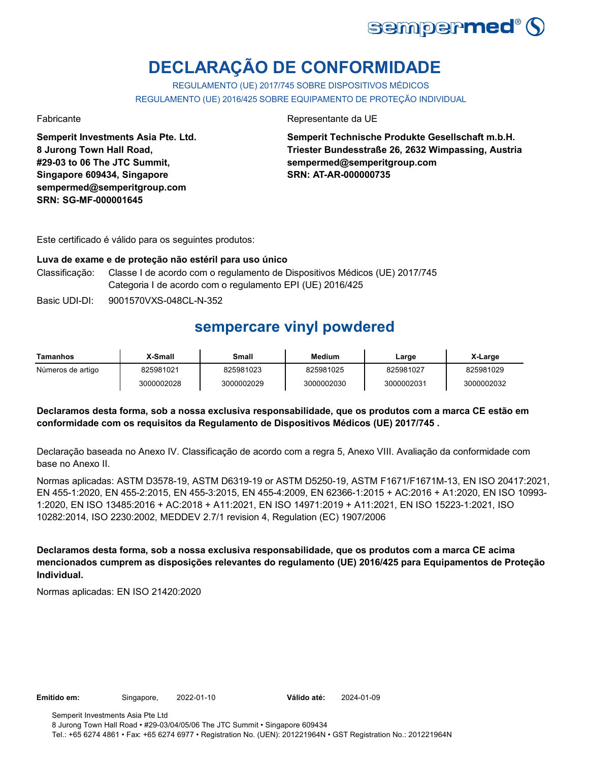

# **DECLARAÇÃO DE CONFORMIDADE**

REGULAMENTO (UE) 2017/745 SOBRE DISPOSITIVOS MÉDICOS REGULAMENTO (UE) 2016/425 SOBRE EQUIPAMENTO DE PROTEÇÃO INDIVIDUAL

**Semperit Investments Asia Pte. Ltd. 8 Jurong Town Hall Road, #29-03 to 06 The JTC Summit, Singapore 609434, Singapore sempermed@semperitgroup.com SRN: SG-MF-000001645**

Fabricante da UE estado e a contrata e a unha presentante da UE estado e a unha presentante da UE

**Semperit Technische Produkte Gesellschaft m.b.H. Triester Bundesstraße 26, 2632 Wimpassing, Austria sempermed@semperitgroup.com SRN: AT-AR-000000735**

Este certificado é válido para os seguintes produtos:

#### **Luva de exame e de proteção não estéril para uso único**

- Classificação: Classe I de acordo com o regulamento de Dispositivos Médicos (UE) 2017/745 Categoria I de acordo com o regulamento EPI (UE) 2016/425
- Basic UDI-DI: 9001570VXS-048CL-N-352

### **sempercare vinyl powdered**

| Tamanhos          | ا Small    | Small      | Medium     | Large      | X-Large    |
|-------------------|------------|------------|------------|------------|------------|
| Números de artigo | 825981021  | 825981023  | 825981025  | 825981027  | 825981029  |
|                   | 3000002028 | 3000002029 | 3000002030 | 3000002031 | 3000002032 |

#### **Declaramos desta forma, sob a nossa exclusiva responsabilidade, que os produtos com a marca CE estão em conformidade com os requisitos da Regulamento de Dispositivos Médicos (UE) 2017/745 .**

Declaração baseada no Anexo IV. Classificação de acordo com a regra 5, Anexo VIII. Avaliação da conformidade com base no Anexo II.

Normas aplicadas: ASTM D3578-19, ASTM D6319-19 or ASTM D5250-19, ASTM F1671/F1671M-13, EN ISO 20417:2021, EN 455-1:2020, EN 455-2:2015, EN 455-3:2015, EN 455-4:2009, EN 62366-1:2015 + AC:2016 + A1:2020, EN ISO 10993- 1:2020, EN ISO 13485:2016 + AC:2018 + A11:2021, EN ISO 14971:2019 + A11:2021, EN ISO 15223-1:2021, ISO 10282:2014, ISO 2230:2002, MEDDEV 2.7/1 revision 4, Regulation (EC) 1907/2006

**Declaramos desta forma, sob a nossa exclusiva responsabilidade, que os produtos com a marca CE acima mencionados cumprem as disposições relevantes do regulamento (UE) 2016/425 para Equipamentos de Proteção Individual.**

Normas aplicadas: EN ISO 21420:2020

**Emitido em:** Singapore, 2022-01-10 **Válido até:** 2024-01-09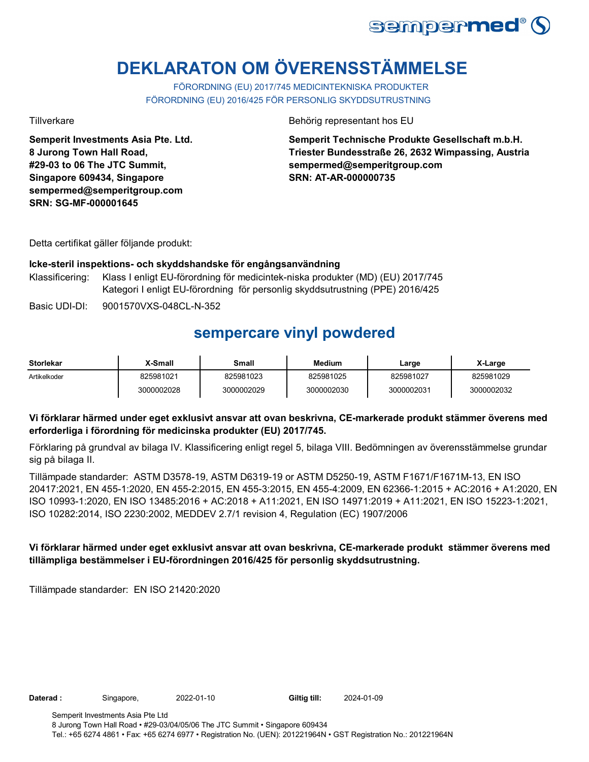

# **DEKLARATON OM ÖVERENSSTÄMMELSE**

FÖRORDNING (EU) 2017/745 MEDICINTEKNISKA PRODUKTER FÖRORDNING (EU) 2016/425 FÖR PERSONLIG SKYDDSUTRUSTNING

**Semperit Investments Asia Pte. Ltd. 8 Jurong Town Hall Road, #29-03 to 06 The JTC Summit, Singapore 609434, Singapore sempermed@semperitgroup.com SRN: SG-MF-000001645**

Tillverkare Behörig representant hos EU

**Semperit Technische Produkte Gesellschaft m.b.H. Triester Bundesstraße 26, 2632 Wimpassing, Austria sempermed@semperitgroup.com SRN: AT-AR-000000735**

Detta certifikat gäller följande produkt:

#### **Icke-steril inspektions- och skyddshandske för engångsanvändning**

Klassificering: Klass I enligt EU-förordning för medicintek-niska produkter (MD) (EU) 2017/745 Kategori I enligt EU-förordning för personlig skyddsutrustning (PPE) 2016/425

Basic UDI-DI: 9001570VXS-048CL-N-352

### **sempercare vinyl powdered**

| Storlekar    | X-Small    | Small      | <b>Medium</b> | ∟arge      | X-Large    |
|--------------|------------|------------|---------------|------------|------------|
| Artikelkoder | 825981021  | 825981023  | 825981025     | 825981027  | 825981029  |
|              | 3000002028 | 3000002029 | 3000002030    | 3000002031 | 3000002032 |

### **Vi förklarar härmed under eget exklusivt ansvar att ovan beskrivna, CE-markerade produkt stämmer överens med erforderliga i förordning för medicinska produkter (EU) 2017/745.**

Förklaring på grundval av bilaga IV. Klassificering enligt regel 5, bilaga VIII. Bedömningen av överensstämmelse grundar sig på bilaga II.

Tillämpade standarder: ASTM D3578-19, ASTM D6319-19 or ASTM D5250-19, ASTM F1671/F1671M-13, EN ISO 20417:2021, EN 455-1:2020, EN 455-2:2015, EN 455-3:2015, EN 455-4:2009, EN 62366-1:2015 + AC:2016 + A1:2020, EN ISO 10993-1:2020, EN ISO 13485:2016 + AC:2018 + A11:2021, EN ISO 14971:2019 + A11:2021, EN ISO 15223-1:2021, ISO 10282:2014, ISO 2230:2002, MEDDEV 2.7/1 revision 4, Regulation (EC) 1907/2006

### **Vi förklarar härmed under eget exklusivt ansvar att ovan beskrivna, CE-markerade produkt stämmer överens med tillämpliga bestämmelser i EU-förordningen 2016/425 för personlig skyddsutrustning.**

Tillämpade standarder: EN ISO 21420:2020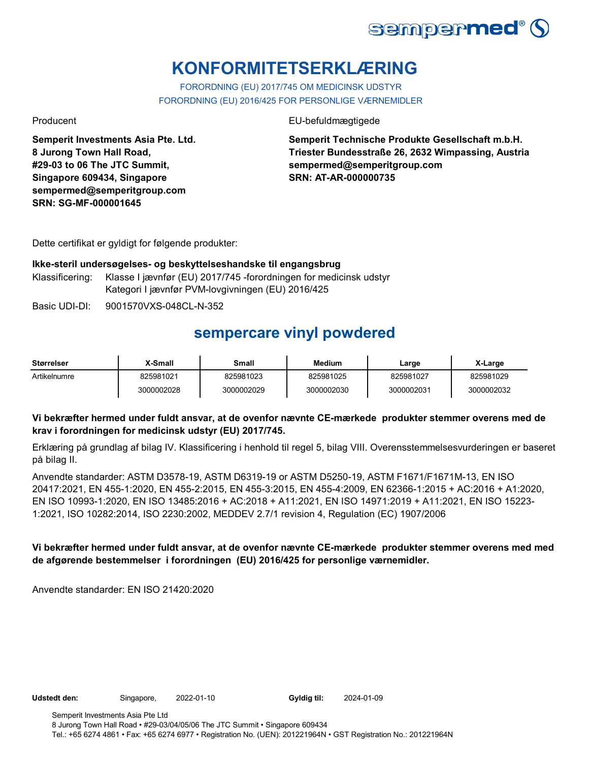

# **KONFORMITETSERKLÆRING**

FORORDNING (EU) 2017/745 OM MEDICINSK UDSTYR FORORDNING (EU) 2016/425 FOR PERSONLIGE VÆRNEMIDLER

Producent EU-befuldmægtigede

**Semperit Investments Asia Pte. Ltd. 8 Jurong Town Hall Road, #29-03 to 06 The JTC Summit, Singapore 609434, Singapore sempermed@semperitgroup.com SRN: SG-MF-000001645**

**Semperit Technische Produkte Gesellschaft m.b.H. Triester Bundesstraße 26, 2632 Wimpassing, Austria sempermed@semperitgroup.com SRN: AT-AR-000000735**

Dette certifikat er gyldigt for følgende produkter:

### **Ikke-steril undersøgelses- og beskyttelseshandske til engangsbrug**

- Klassificering: Klasse I jævnfør (EU) 2017/745 -forordningen for medicinsk udstyr Kategori I jævnfør PVM-lovgivningen (EU) 2016/425
- Basic UDI-DI: 9001570VXS-048CL-N-352

### **sempercare vinyl powdered**

| <b>Størrelser</b> | X-Small    | Small      | Medium     | Large      | X-Large    |
|-------------------|------------|------------|------------|------------|------------|
| Artikelnumre      | 825981021  | 825981023  | 825981025  | 825981027  | 825981029  |
|                   | 3000002028 | 3000002029 | 3000002030 | 3000002031 | 3000002032 |

### **Vi bekræfter hermed under fuldt ansvar, at de ovenfor nævnte CE-mærkede produkter stemmer overens med de krav i forordningen for medicinsk udstyr (EU) 2017/745.**

Erklæring på grundlag af bilag IV. Klassificering i henhold til regel 5, bilag VIII. Overensstemmelsesvurderingen er baseret på bilag II.

Anvendte standarder: ASTM D3578-19, ASTM D6319-19 or ASTM D5250-19, ASTM F1671/F1671M-13, EN ISO 20417:2021, EN 455-1:2020, EN 455-2:2015, EN 455-3:2015, EN 455-4:2009, EN 62366-1:2015 + AC:2016 + A1:2020, EN ISO 10993-1:2020, EN ISO 13485:2016 + AC:2018 + A11:2021, EN ISO 14971:2019 + A11:2021, EN ISO 15223- 1:2021, ISO 10282:2014, ISO 2230:2002, MEDDEV 2.7/1 revision 4, Regulation (EC) 1907/2006

### **Vi bekræfter hermed under fuldt ansvar, at de ovenfor nævnte CE-mærkede produkter stemmer overens med med de afgørende bestemmelser i forordningen (EU) 2016/425 for personlige værnemidler.**

Anvendte standarder: EN ISO 21420:2020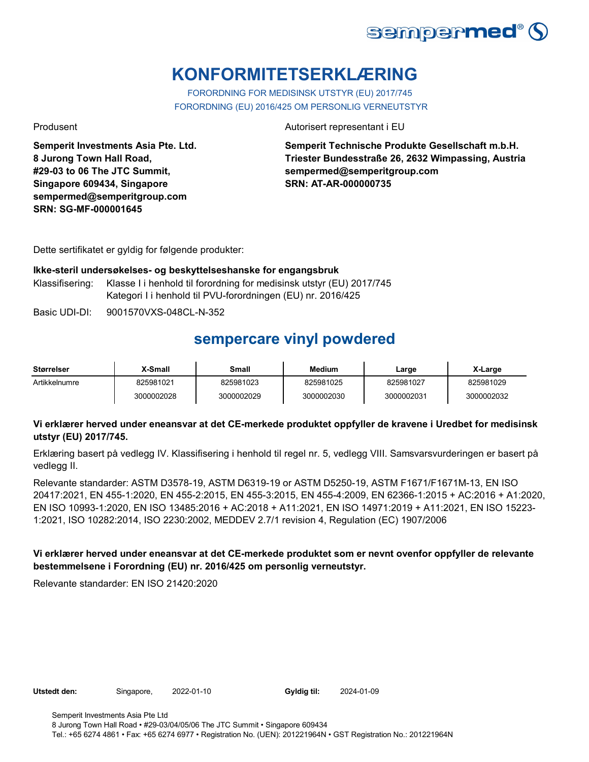

# **KONFORMITETSERKLÆRING**

FORORDNING FOR MEDISINSK UTSTYR (EU) 2017/745 FORORDNING (EU) 2016/425 OM PERSONLIG VERNEUTSTYR

**Semperit Investments Asia Pte. Ltd. 8 Jurong Town Hall Road, #29-03 to 06 The JTC Summit, Singapore 609434, Singapore sempermed@semperitgroup.com SRN: SG-MF-000001645**

Produsent Autorisert representant i EU

**Semperit Technische Produkte Gesellschaft m.b.H. Triester Bundesstraße 26, 2632 Wimpassing, Austria sempermed@semperitgroup.com SRN: AT-AR-000000735**

Dette sertifikatet er gyldig for følgende produkter:

#### **Ikke-steril undersøkelses- og beskyttelseshanske for engangsbruk**

- Klassifisering: Klasse I i henhold til forordning for medisinsk utstyr (EU) 2017/745 Kategori I i henhold til PVU-forordningen (EU) nr. 2016/425
- Basic UDI-DI: 9001570VXS-048CL-N-352

### **sempercare vinyl powdered**

| <b>Størrelser</b> | X-Small    | Small      | <b>Medium</b> | Large      | X-Large    |
|-------------------|------------|------------|---------------|------------|------------|
| Artikkelnumre     | 825981021  | 825981023  | 825981025     | 825981027  | 825981029  |
|                   | 3000002028 | 3000002029 | 3000002030    | 3000002031 | 3000002032 |

#### **Vi erklærer herved under eneansvar at det CE-merkede produktet oppfyller de kravene i Uredbet for medisinsk utstyr (EU) 2017/745.**

Erklæring basert på vedlegg IV. Klassifisering i henhold til regel nr. 5, vedlegg VIII. Samsvarsvurderingen er basert på vedlegg II.

Relevante standarder: ASTM D3578-19, ASTM D6319-19 or ASTM D5250-19, ASTM F1671/F1671M-13, EN ISO 20417:2021, EN 455-1:2020, EN 455-2:2015, EN 455-3:2015, EN 455-4:2009, EN 62366-1:2015 + AC:2016 + A1:2020, EN ISO 10993-1:2020, EN ISO 13485:2016 + AC:2018 + A11:2021, EN ISO 14971:2019 + A11:2021, EN ISO 15223- 1:2021, ISO 10282:2014, ISO 2230:2002, MEDDEV 2.7/1 revision 4, Regulation (EC) 1907/2006

#### **Vi erklærer herved under eneansvar at det CE-merkede produktet som er nevnt ovenfor oppfyller de relevante bestemmelsene i Forordning (EU) nr. 2016/425 om personlig verneutstyr.**

Relevante standarder: EN ISO 21420:2020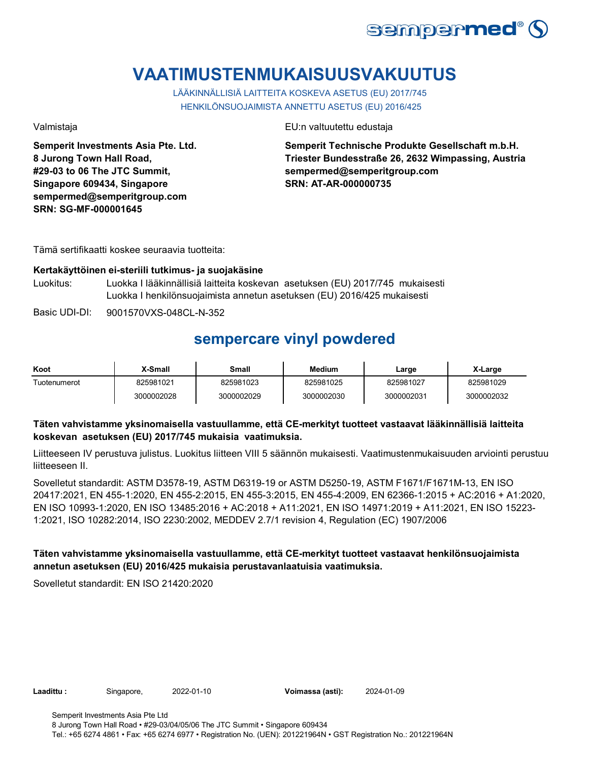

# **VAATIMUSTENMUKAISUUSVAKUUTUS**

LÄÄKINNÄLLISIÄ LAITTEITA KOSKEVA ASETUS (EU) 2017/745 HENKILÖNSUOJAIMISTA ANNETTU ASETUS (EU) 2016/425

**Semperit Investments Asia Pte. Ltd. 8 Jurong Town Hall Road, #29-03 to 06 The JTC Summit, Singapore 609434, Singapore sempermed@semperitgroup.com SRN: SG-MF-000001645**

Valmistaja EU:n valtuutettu edustaja

**Semperit Technische Produkte Gesellschaft m.b.H. Triester Bundesstraße 26, 2632 Wimpassing, Austria sempermed@semperitgroup.com SRN: AT-AR-000000735**

Tämä sertifikaatti koskee seuraavia tuotteita:

#### **Kertakäyttöinen ei-steriili tutkimus- ja suojakäsine**

Luokitus: Luokka I lääkinnällisiä laitteita koskevan asetuksen (EU) 2017/745 mukaisesti Luokka I henkilönsuojaimista annetun asetuksen (EU) 2016/425 mukaisesti

Basic UDI-DI: 9001570VXS-048CL-N-352

### **sempercare vinyl powdered**

| Koot         | X-Small    | Small      | <b>Medium</b> | Large      | X-Large    |
|--------------|------------|------------|---------------|------------|------------|
| Tuotenumerot | 825981021  | 825981023  | 825981025     | 825981027  | 825981029  |
|              | 3000002028 | 3000002029 | 3000002030    | 3000002031 | 3000002032 |

#### **Täten vahvistamme yksinomaisella vastuullamme, että CE-merkityt tuotteet vastaavat lääkinnällisiä laitteita koskevan asetuksen (EU) 2017/745 mukaisia vaatimuksia.**

Liitteeseen IV perustuva julistus. Luokitus liitteen VIII 5 säännön mukaisesti. Vaatimustenmukaisuuden arviointi perustuu liitteeseen II.

Sovelletut standardit: ASTM D3578-19, ASTM D6319-19 or ASTM D5250-19, ASTM F1671/F1671M-13, EN ISO 20417:2021, EN 455-1:2020, EN 455-2:2015, EN 455-3:2015, EN 455-4:2009, EN 62366-1:2015 + AC:2016 + A1:2020, EN ISO 10993-1:2020, EN ISO 13485:2016 + AC:2018 + A11:2021, EN ISO 14971:2019 + A11:2021, EN ISO 15223- 1:2021, ISO 10282:2014, ISO 2230:2002, MEDDEV 2.7/1 revision 4, Regulation (EC) 1907/2006

### **Täten vahvistamme yksinomaisella vastuullamme, että CE-merkityt tuotteet vastaavat henkilönsuojaimista annetun asetuksen (EU) 2016/425 mukaisia perustavanlaatuisia vaatimuksia.**

Sovelletut standardit: EN ISO 21420:2020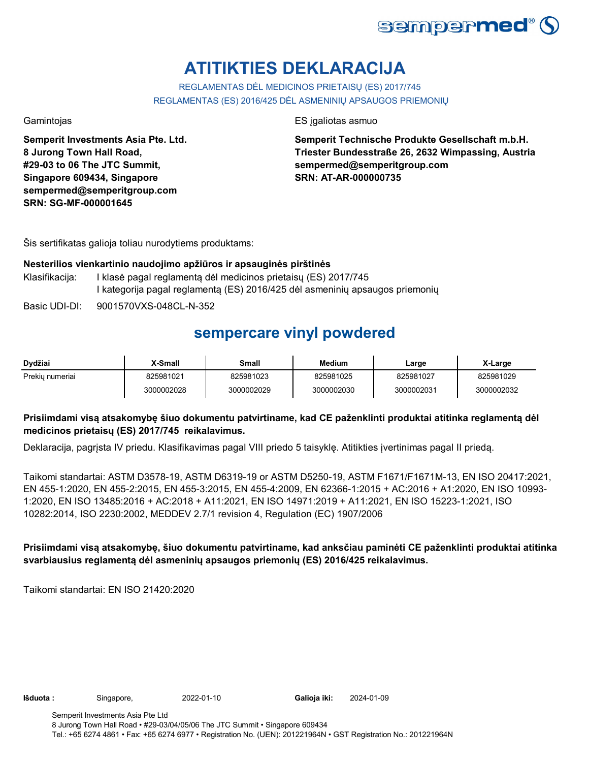

# **ATITIKTIES DEKLARACIJA**

REGLAMENTAS DĖL MEDICINOS PRIETAISŲ (ES) 2017/745 REGLAMENTAS (ES) 2016/425 DĖL ASMENINIŲ APSAUGOS PRIEMONIŲ

**Semperit Investments Asia Pte. Ltd. 8 Jurong Town Hall Road, #29-03 to 06 The JTC Summit, Singapore 609434, Singapore sempermed@semperitgroup.com SRN: SG-MF-000001645**

Gamintojas ES įgaliotas asmuo

**Semperit Technische Produkte Gesellschaft m.b.H. Triester Bundesstraße 26, 2632 Wimpassing, Austria sempermed@semperitgroup.com SRN: AT-AR-000000735**

Šis sertifikatas galioja toliau nurodytiems produktams:

### **Nesterilios vienkartinio naudojimo apžiūros ir apsauginės pirštinės**

Klasifikacija: I klasė pagal reglamentą dėl medicinos prietaisų (ES) 2017/745 I kategorija pagal reglamentą (ES) 2016/425 dėl asmeninių apsaugos priemonių

Basic UDI-DI: 9001570VXS-048CL-N-352

### **sempercare vinyl powdered**

| Dydžiai         | X-Small    | Small      | Medium     | Large      | X-Large    |
|-----------------|------------|------------|------------|------------|------------|
| Prekiu numeriai | 825981021  | 825981023  | 825981025  | 825981027  | 825981029  |
|                 | 3000002028 | 3000002029 | 3000002030 | 3000002031 | 3000002032 |

### **Prisiimdami visą atsakomybę šiuo dokumentu patvirtiname, kad CE paženklinti produktai atitinka reglamentą dėl medicinos prietaisų (ES) 2017/745 reikalavimus.**

Deklaracija, pagrįsta IV priedu. Klasifikavimas pagal VIII priedo 5 taisyklę. Atitikties įvertinimas pagal II priedą.

Taikomi standartai: ASTM D3578-19, ASTM D6319-19 or ASTM D5250-19, ASTM F1671/F1671M-13, EN ISO 20417:2021, EN 455-1:2020, EN 455-2:2015, EN 455-3:2015, EN 455-4:2009, EN 62366-1:2015 + AC:2016 + A1:2020, EN ISO 10993- 1:2020, EN ISO 13485:2016 + AC:2018 + A11:2021, EN ISO 14971:2019 + A11:2021, EN ISO 15223-1:2021, ISO 10282:2014, ISO 2230:2002, MEDDEV 2.7/1 revision 4, Regulation (EC) 1907/2006

**Prisiimdami visą atsakomybę, šiuo dokumentu patvirtiname, kad anksčiau paminėti CE paženklinti produktai atitinka svarbiausius reglamentą dėl asmeninių apsaugos priemonių (ES) 2016/425 reikalavimus.**

Taikomi standartai: EN ISO 21420:2020

**Išduota :** Singapore, 2022-01-10 **Galioja iki:** 2024-01-09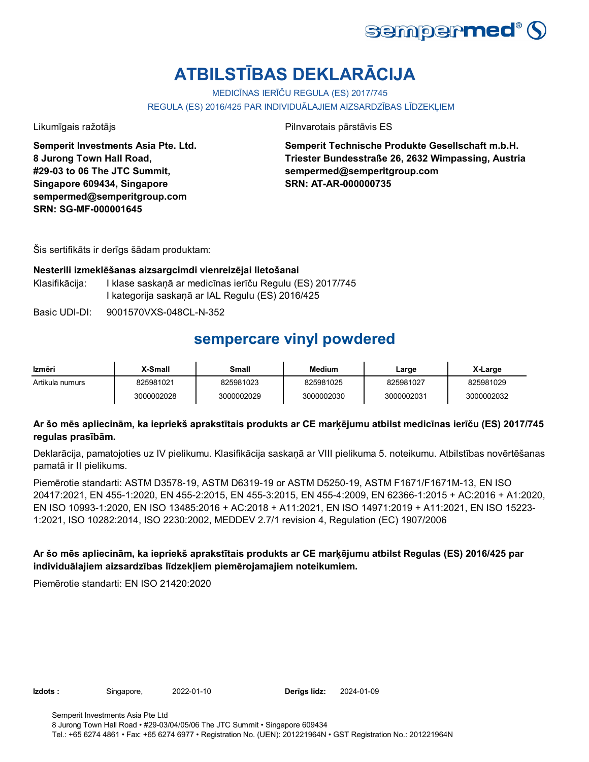

# **ATBILSTĪBAS DEKLARĀCIJA**

MEDICĪNAS IERĪČU REGULA (ES) 2017/745

REGULA (ES) 2016/425 PAR INDIVIDUĀLAJIEM AIZSARDZĪBAS LĪDZEKĻIEM

**Semperit Investments Asia Pte. Ltd. 8 Jurong Town Hall Road, #29-03 to 06 The JTC Summit, Singapore 609434, Singapore sempermed@semperitgroup.com SRN: SG-MF-000001645**

Likumīgais ražotājs Pilnvarotais pārstāvis ES

**Semperit Technische Produkte Gesellschaft m.b.H. Triester Bundesstraße 26, 2632 Wimpassing, Austria sempermed@semperitgroup.com SRN: AT-AR-000000735**

Šis sertifikāts ir derīgs šādam produktam:

#### **Nesterili izmeklēšanas aizsargcimdi vienreizējai lietošanai**

Klasifikācija: I klase saskaņā ar medicīnas ierīču Regulu (ES) 2017/745 I kategorija saskaņā ar IAL Regulu (ES) 2016/425

Basic UDI-DI: 9001570VXS-048CL-N-352

### **sempercare vinyl powdered**

| Izmēri          | X-Small    | Small      | <b>Medium</b> | Large      | X-Large    |
|-----------------|------------|------------|---------------|------------|------------|
| Artikula numurs | 825981021  | 825981023  | 825981025     | 825981027  | 825981029  |
|                 | 3000002028 | 3000002029 | 3000002030    | 3000002031 | 3000002032 |

### **Ar šo mēs apliecinām, ka iepriekš aprakstītais produkts ar CE marķējumu atbilst medicīnas ierīču (ES) 2017/745 regulas prasībām.**

Deklarācija, pamatojoties uz IV pielikumu. Klasifikācija saskaņā ar VIII pielikuma 5. noteikumu. Atbilstības novērtēšanas pamatā ir II pielikums.

Piemērotie standarti: ASTM D3578-19, ASTM D6319-19 or ASTM D5250-19, ASTM F1671/F1671M-13, EN ISO 20417:2021, EN 455-1:2020, EN 455-2:2015, EN 455-3:2015, EN 455-4:2009, EN 62366-1:2015 + AC:2016 + A1:2020, EN ISO 10993-1:2020, EN ISO 13485:2016 + AC:2018 + A11:2021, EN ISO 14971:2019 + A11:2021, EN ISO 15223- 1:2021, ISO 10282:2014, ISO 2230:2002, MEDDEV 2.7/1 revision 4, Regulation (EC) 1907/2006

### **Ar šo mēs apliecinām, ka iepriekš aprakstītais produkts ar CE marķējumu atbilst Regulas (ES) 2016/425 par individuālajiem aizsardzības līdzekļiem piemērojamajiem noteikumiem.**

Piemērotie standarti: EN ISO 21420:2020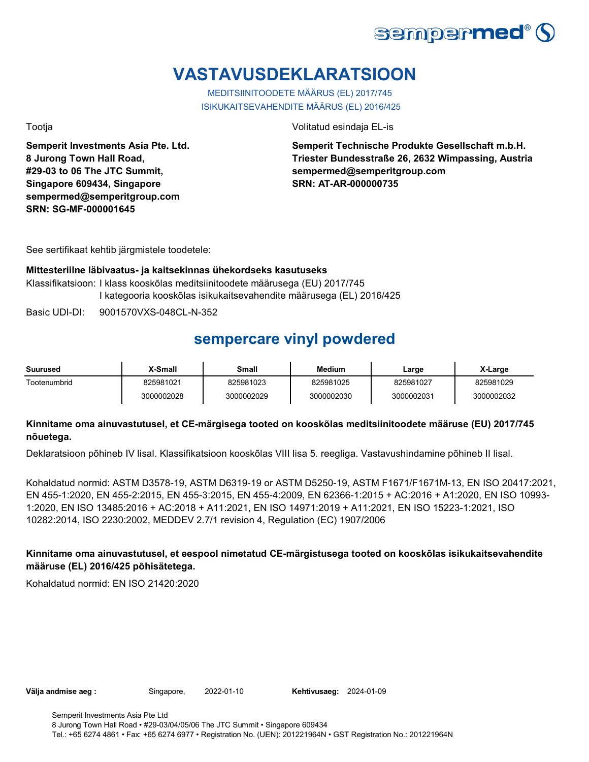

# **VASTAVUSDEKLARATSIOON**

MEDITSIINITOODETE MÄÄRUS (EL) 2017/745 ISIKUKAITSEVAHENDITE MÄÄRUS (EL) 2016/425

**Semperit Investments Asia Pte. Ltd. 8 Jurong Town Hall Road, #29-03 to 06 The JTC Summit, Singapore 609434, Singapore sempermed@semperitgroup.com SRN: SG-MF-000001645**

Tootja Volitatud esindaja EL-is

**Semperit Technische Produkte Gesellschaft m.b.H. Triester Bundesstraße 26, 2632 Wimpassing, Austria sempermed@semperitgroup.com SRN: AT-AR-000000735**

See sertifikaat kehtib järgmistele toodetele:

#### **Mittesteriilne läbivaatus- ja kaitsekinnas ühekordseks kasutuseks**

Klassifikatsioon: I klass kooskõlas meditsiinitoodete määrusega (EU) 2017/745 I kategooria kooskõlas isikukaitsevahendite määrusega (EL) 2016/425

Basic UDI-DI: 9001570VXS-048CL-N-352

### **sempercare vinyl powdered**

| Suurused     | X-Small    | Small      | <b>Medium</b> | Large      | X-Large    |
|--------------|------------|------------|---------------|------------|------------|
| Tootenumbrid | 825981021  | 825981023  | 825981025     | 825981027  | 825981029  |
|              | 3000002028 | 3000002029 | 3000002030    | 3000002031 | 3000002032 |

#### **Kinnitame oma ainuvastutusel, et CE-märgisega tooted on kooskõlas meditsiinitoodete määruse (EU) 2017/745 nõuetega.**

Deklaratsioon põhineb IV lisal. Klassifikatsioon kooskõlas VIII lisa 5. reegliga. Vastavushindamine põhineb II lisal.

Kohaldatud normid: ASTM D3578-19, ASTM D6319-19 or ASTM D5250-19, ASTM F1671/F1671M-13, EN ISO 20417:2021, EN 455-1:2020, EN 455-2:2015, EN 455-3:2015, EN 455-4:2009, EN 62366-1:2015 + AC:2016 + A1:2020, EN ISO 10993- 1:2020, EN ISO 13485:2016 + AC:2018 + A11:2021, EN ISO 14971:2019 + A11:2021, EN ISO 15223-1:2021, ISO 10282:2014, ISO 2230:2002, MEDDEV 2.7/1 revision 4, Regulation (EC) 1907/2006

#### **Kinnitame oma ainuvastutusel, et eespool nimetatud CE-märgistusega tooted on kooskõlas isikukaitsevahendite määruse (EL) 2016/425 põhisätetega.**

Kohaldatud normid: EN ISO 21420:2020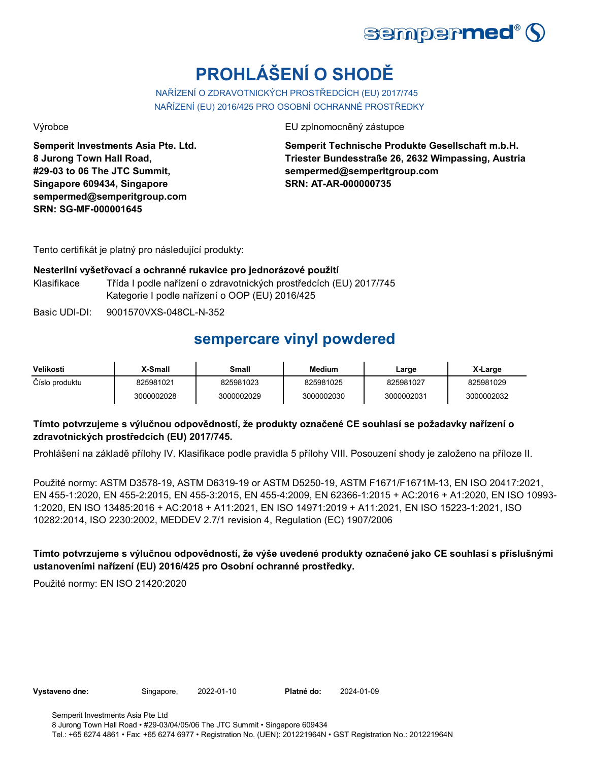

# **PROHLÁŠENÍ O SHODĚ**

NAŘÍZENÍ O ZDRAVOTNICKÝCH PROSTŘEDCÍCH (EU) 2017/745 NAŘÍZENÍ (EU) 2016/425 PRO OSOBNÍ OCHRANNÉ PROSTŘEDKY

**Semperit Investments Asia Pte. Ltd. 8 Jurong Town Hall Road, #29-03 to 06 The JTC Summit, Singapore 609434, Singapore sempermed@semperitgroup.com SRN: SG-MF-000001645**

Výrobce EU zplnomocněný zástupce

**Semperit Technische Produkte Gesellschaft m.b.H. Triester Bundesstraße 26, 2632 Wimpassing, Austria sempermed@semperitgroup.com SRN: AT-AR-000000735**

Tento certifikát je platný pro následující produkty:

#### **Nesterilní vyšetřovací a ochranné rukavice pro jednorázové použití**

Klasifikace Třída I podle nařízení o zdravotnických prostředcích (EU) 2017/745 Kategorie I podle nařízení o OOP (EU) 2016/425

Basic UDI-DI: 9001570VXS-048CL-N-352

## **sempercare vinyl powdered**

| Velikosti      | X-Small    | Small      | <b>Medium</b> | Large      | X-Large    |
|----------------|------------|------------|---------------|------------|------------|
| Číslo produktu | 825981021  | 825981023  | 825981025     | 825981027  | 825981029  |
|                | 3000002028 | 3000002029 | 3000002030    | 3000002031 | 3000002032 |

### **Tímto potvrzujeme s výlučnou odpovědností, že produkty označené CE souhlasí se požadavky nařízení o zdravotnických prostředcích (EU) 2017/745.**

Prohlášení na základě přílohy IV. Klasifikace podle pravidla 5 přílohy VIII. Posouzení shody je založeno na příloze II.

Použité normy: ASTM D3578-19, ASTM D6319-19 or ASTM D5250-19, ASTM F1671/F1671M-13, EN ISO 20417:2021, EN 455-1:2020, EN 455-2:2015, EN 455-3:2015, EN 455-4:2009, EN 62366-1:2015 + AC:2016 + A1:2020, EN ISO 10993- 1:2020, EN ISO 13485:2016 + AC:2018 + A11:2021, EN ISO 14971:2019 + A11:2021, EN ISO 15223-1:2021, ISO 10282:2014, ISO 2230:2002, MEDDEV 2.7/1 revision 4, Regulation (EC) 1907/2006

**Tímto potvrzujeme s výlučnou odpovědností, že výše uvedené produkty označené jako CE souhlasí s příslušnými ustanoveními nařízení (EU) 2016/425 pro Osobní ochranné prostředky.**

Použité normy: EN ISO 21420:2020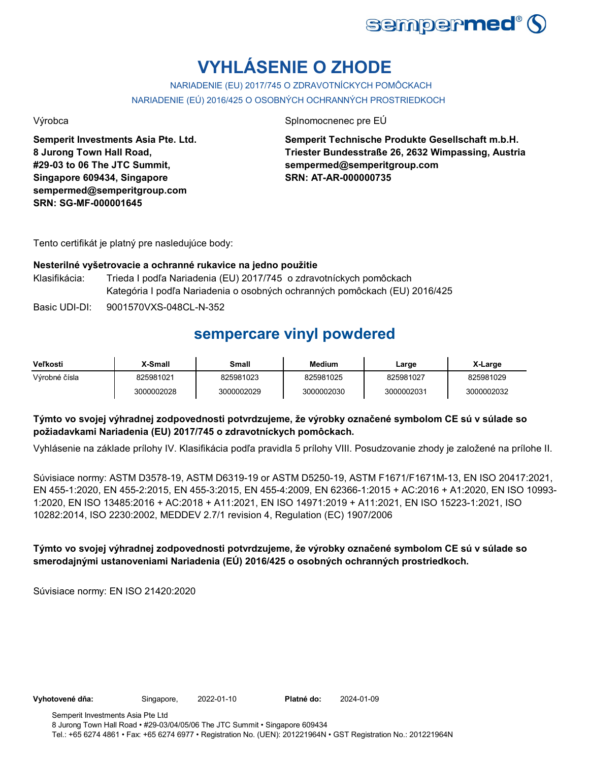

# **VYHLÁSENIE O ZHODE**

NARIADENIE (EU) 2017/745 O ZDRAVOTNÍCKYCH POMÔCKACH NARIADENIE (EÚ) 2016/425 O OSOBNÝCH OCHRANNÝCH PROSTRIEDKOCH

Výrobca Splnomocnenec pre EÚ

**Semperit Investments Asia Pte. Ltd. 8 Jurong Town Hall Road, #29-03 to 06 The JTC Summit, Singapore 609434, Singapore sempermed@semperitgroup.com SRN: SG-MF-000001645**

**Semperit Technische Produkte Gesellschaft m.b.H. Triester Bundesstraße 26, 2632 Wimpassing, Austria sempermed@semperitgroup.com SRN: AT-AR-000000735**

Tento certifikát je platný pre nasledujúce body:

#### **Nesterilné vyšetrovacie a ochranné rukavice na jedno použitie**

- Klasifikácia: Trieda I podľa Nariadenia (EU) 2017/745 o zdravotníckych pomôckach Kategória I podľa Nariadenia o osobných ochranných pomôckach (EU) 2016/425
- Basic UDI-DI: 9001570VXS-048CL-N-352

## **sempercare vinyl powdered**

| <b>Veľkosti</b> | <b>X-Small</b> | Small      | Medium     | Large      | X-Large    |
|-----------------|----------------|------------|------------|------------|------------|
| Výrobné čísla   | 825981021      | 825981023  | 825981025  | 825981027  | 825981029  |
|                 | 3000002028     | 3000002029 | 3000002030 | 3000002031 | 3000002032 |

#### **Týmto vo svojej výhradnej zodpovednosti potvrdzujeme, že výrobky označené symbolom CE sú v súlade so požiadavkami Nariadenia (EU) 2017/745 o zdravotníckych pomôckach.**

Vyhlásenie na základe prílohy IV. Klasifikácia podľa pravidla 5 prílohy VIII. Posudzovanie zhody je založené na prílohe II.

Súvisiace normy: ASTM D3578-19, ASTM D6319-19 or ASTM D5250-19, ASTM F1671/F1671M-13, EN ISO 20417:2021, EN 455-1:2020, EN 455-2:2015, EN 455-3:2015, EN 455-4:2009, EN 62366-1:2015 + AC:2016 + A1:2020, EN ISO 10993- 1:2020, EN ISO 13485:2016 + AC:2018 + A11:2021, EN ISO 14971:2019 + A11:2021, EN ISO 15223-1:2021, ISO 10282:2014, ISO 2230:2002, MEDDEV 2.7/1 revision 4, Regulation (EC) 1907/2006

### **Týmto vo svojej výhradnej zodpovednosti potvrdzujeme, že výrobky označené symbolom CE sú v súlade so smerodajnými ustanoveniami Nariadenia (EÚ) 2016/425 o osobných ochranných prostriedkoch.**

Súvisiace normy: EN ISO 21420:2020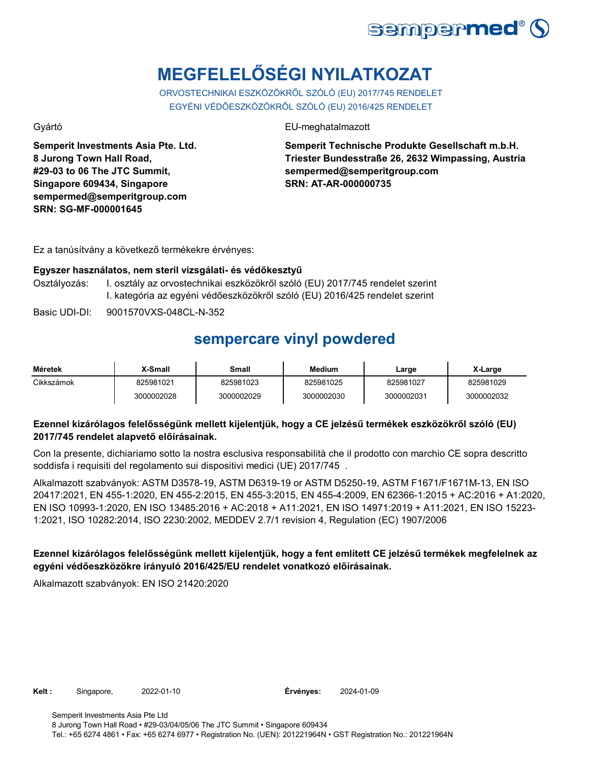

# **MEGFELELŐSÉGI NYILATKOZAT**

ORVOSTECHNIKAI ESZKÖZÖKRŐL SZÓLÓ (EU) 2017/745 RENDELET EGYÉNI VÉDŐESZKÖZÖKRŐL SZÓLÓ (EU) 2016/425 RENDELET

**Semperit Investments Asia Pte. Ltd. 8 Jurong Town Hall Road, #29-03 to 06 The JTC Summit, Singapore 609434, Singapore sempermed@semperitgroup.com SRN: SG-MF-000001645**

Gyártó EU-meghatalmazott

**Semperit Technische Produkte Gesellschaft m.b.H. Triester Bundesstraße 26, 2632 Wimpassing, Austria sempermed@semperitgroup.com SRN: AT-AR-000000735**

Ez a tanúsítvány a következő termékekre érvényes:

#### **Egyszer használatos, nem steril vizsgálati- és védőkesztyű**

- Osztályozás: I. osztály az orvostechnikai eszközökről szóló (EU) 2017/745 rendelet szerint I. kategória az egyéni védőeszközökről szóló (EU) 2016/425 rendelet szerint
- Basic UDI-DI: 9001570VXS-048CL-N-352

## **sempercare vinyl powdered**

| Méretek    | X-Small    | Small      | <b>Medium</b> | Large      | X-Large    |
|------------|------------|------------|---------------|------------|------------|
| Cikkszámok | 825981021  | 825981023  | 825981025     | 825981027  | 825981029  |
|            | 3000002028 | 3000002029 | 3000002030    | 3000002031 | 3000002032 |

### **Ezennel kizárólagos felelősségünk mellett kijelentjük, hogy a CE jelzésű termékek eszközökről szóló (EU) 2017/745 rendelet alapvető előírásainak.**

Con la presente, dichiariamo sotto la nostra esclusiva responsabilità che il prodotto con marchio CE sopra descritto soddisfa i requisiti del regolamento sui dispositivi medici (UE) 2017/745 .

Alkalmazott szabványok: ASTM D3578-19, ASTM D6319-19 or ASTM D5250-19, ASTM F1671/F1671M-13, EN ISO 20417:2021, EN 455-1:2020, EN 455-2:2015, EN 455-3:2015, EN 455-4:2009, EN 62366-1:2015 + AC:2016 + A1:2020, EN ISO 10993-1:2020, EN ISO 13485:2016 + AC:2018 + A11:2021, EN ISO 14971:2019 + A11:2021, EN ISO 15223- 1:2021, ISO 10282:2014, ISO 2230:2002, MEDDEV 2.7/1 revision 4, Regulation (EC) 1907/2006

### **Ezennel kizárólagos felelősségünk mellett kijelentjük, hogy a fent említett CE jelzésű termékek megfelelnek az egyéni védőeszközökre irányuló 2016/425/EU rendelet vonatkozó előírásainak.**

Alkalmazott szabványok: EN ISO 21420:2020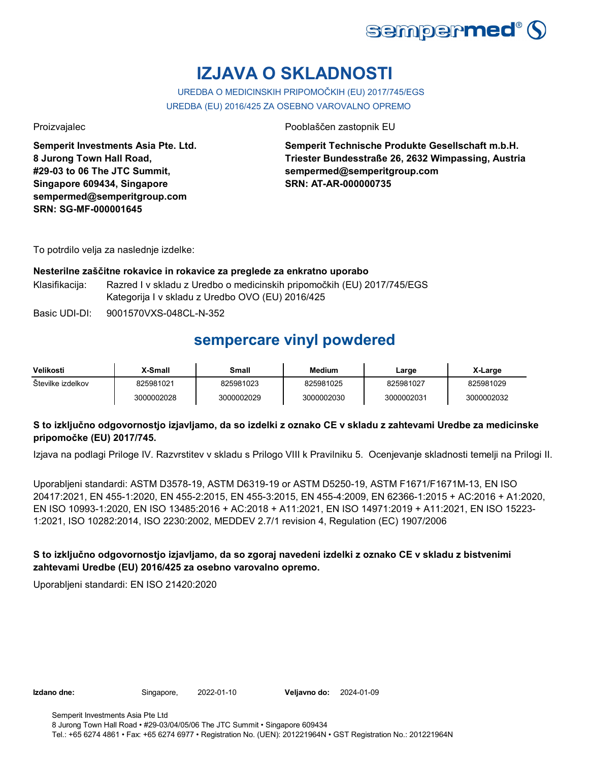

# **IZJAVA O SKLADNOSTI**

### UREDBA O MEDICINSKIH PRIPOMOČKIH (EU) 2017/745/EGS

UREDBA (EU) 2016/425 ZA OSEBNO VAROVALNO OPREMO

**Semperit Investments Asia Pte. Ltd. 8 Jurong Town Hall Road, #29-03 to 06 The JTC Summit, Singapore 609434, Singapore sempermed@semperitgroup.com SRN: SG-MF-000001645**

Proizvajalec Pooblaščen zastopnik EU

**Semperit Technische Produkte Gesellschaft m.b.H. Triester Bundesstraße 26, 2632 Wimpassing, Austria sempermed@semperitgroup.com SRN: AT-AR-000000735**

To potrdilo velja za naslednje izdelke:

#### **Nesterilne zaščitne rokavice in rokavice za preglede za enkratno uporabo**

Klasifikacija: Razred I v skladu z Uredbo o medicinskih pripomočkih (EU) 2017/745/EGS Kategorija I v skladu z Uredbo OVO (EU) 2016/425

Basic UDI-DI: 9001570VXS-048CL-N-352

### **sempercare vinyl powdered**

| Velikosti         | X-Small    | Small      | <b>Medium</b> | Large      | X-Large    |
|-------------------|------------|------------|---------------|------------|------------|
| Stevilke izdelkov | 825981021  | 825981023  | 825981025     | 825981027  | 825981029  |
|                   | 3000002028 | 3000002029 | 3000002030    | 3000002031 | 3000002032 |

### **S to izključno odgovornostjo izjavljamo, da so izdelki z oznako CE v skladu z zahtevami Uredbe za medicinske pripomočke (EU) 2017/745.**

Izjava na podlagi Priloge IV. Razvrstitev v skladu s Prilogo VIII k Pravilniku 5. Ocenjevanje skladnosti temelji na Prilogi II.

Uporabljeni standardi: ASTM D3578-19, ASTM D6319-19 or ASTM D5250-19, ASTM F1671/F1671M-13, EN ISO 20417:2021, EN 455-1:2020, EN 455-2:2015, EN 455-3:2015, EN 455-4:2009, EN 62366-1:2015 + AC:2016 + A1:2020, EN ISO 10993-1:2020, EN ISO 13485:2016 + AC:2018 + A11:2021, EN ISO 14971:2019 + A11:2021, EN ISO 15223- 1:2021, ISO 10282:2014, ISO 2230:2002, MEDDEV 2.7/1 revision 4, Regulation (EC) 1907/2006

### **S to izključno odgovornostjo izjavljamo, da so zgoraj navedeni izdelki z oznako CE v skladu z bistvenimi zahtevami Uredbe (EU) 2016/425 za osebno varovalno opremo.**

Uporabljeni standardi: EN ISO 21420:2020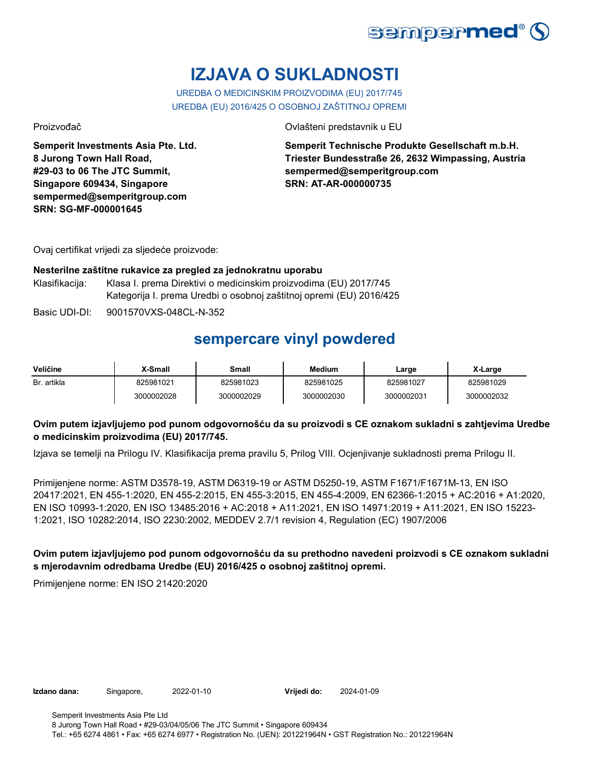

# **IZJAVA O SUKLADNOSTI**

UREDBA O MEDICINSKIM PROIZVODIMA (EU) 2017/745 UREDBA (EU) 2016/425 O OSOBNOJ ZAŠTITNOJ OPREMI

**Semperit Investments Asia Pte. Ltd. 8 Jurong Town Hall Road, #29-03 to 06 The JTC Summit, Singapore 609434, Singapore sempermed@semperitgroup.com SRN: SG-MF-000001645**

Proizvođač Ovlašteni predstavnik u EU

**Semperit Technische Produkte Gesellschaft m.b.H. Triester Bundesstraße 26, 2632 Wimpassing, Austria sempermed@semperitgroup.com SRN: AT-AR-000000735**

Ovaj certifikat vrijedi za sljedeće proizvode:

#### **Nesterilne zaštitne rukavice za pregled za jednokratnu uporabu**

Klasifikacija: Klasa I. prema Direktivi o medicinskim proizvodima (EU) 2017/745 Kategorija I. prema Uredbi o osobnoj zaštitnoj opremi (EU) 2016/425

Basic UDI-DI: 9001570VXS-048CL-N-352

### **sempercare vinyl powdered**

| Veličine    | X-Small    | Small      | Medium     | Large      | X-Large    |
|-------------|------------|------------|------------|------------|------------|
| Br. artikla | 825981021  | 825981023  | 825981025  | 825981027  | 825981029  |
|             | 3000002028 | 3000002029 | 3000002030 | 3000002031 | 3000002032 |

#### **Ovim putem izjavljujemo pod punom odgovornošću da su proizvodi s CE oznakom sukladni s zahtjevima Uredbe o medicinskim proizvodima (EU) 2017/745.**

Izjava se temelji na Prilogu IV. Klasifikacija prema pravilu 5, Prilog VIII. Ocjenjivanje sukladnosti prema Prilogu II.

Primijenjene norme: ASTM D3578-19, ASTM D6319-19 or ASTM D5250-19, ASTM F1671/F1671M-13, EN ISO 20417:2021, EN 455-1:2020, EN 455-2:2015, EN 455-3:2015, EN 455-4:2009, EN 62366-1:2015 + AC:2016 + A1:2020, EN ISO 10993-1:2020, EN ISO 13485:2016 + AC:2018 + A11:2021, EN ISO 14971:2019 + A11:2021, EN ISO 15223- 1:2021, ISO 10282:2014, ISO 2230:2002, MEDDEV 2.7/1 revision 4, Regulation (EC) 1907/2006

**Ovim putem izjavljujemo pod punom odgovornošću da su prethodno navedeni proizvodi s CE oznakom sukladni s mjerodavnim odredbama Uredbe (EU) 2016/425 o osobnoj zaštitnoj opremi.**

Primijenjene norme: EN ISO 21420:2020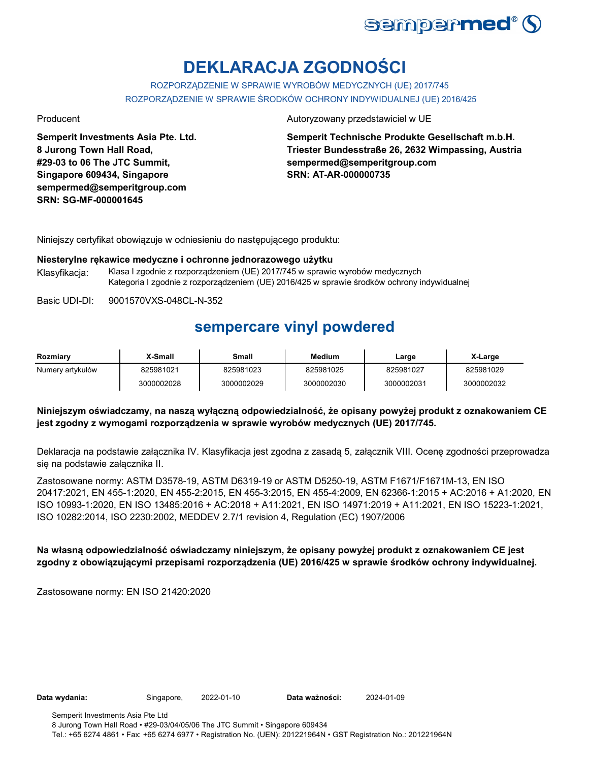

# **DEKLARACJA ZGODNOŚCI**

ROZPORZĄDZENIE W SPRAWIE WYROBÓW MEDYCZNYCH (UE) 2017/745 ROZPORZĄDZENIE W SPRAWIE ŚRODKÓW OCHRONY INDYWIDUALNEJ (UE) 2016/425

**Semperit Investments Asia Pte. Ltd. 8 Jurong Town Hall Road, #29-03 to 06 The JTC Summit, Singapore 609434, Singapore sempermed@semperitgroup.com SRN: SG-MF-000001645**

Producent Autoryzowany przedstawiciel w UE

**Semperit Technische Produkte Gesellschaft m.b.H. Triester Bundesstraße 26, 2632 Wimpassing, Austria sempermed@semperitgroup.com SRN: AT-AR-000000735**

Niniejszy certyfikat obowiązuje w odniesieniu do następującego produktu:

#### **Niesterylne rękawice medyczne i ochronne jednorazowego użytku**

Klasyfikacja: Klasa I zgodnie z rozporządzeniem (UE) 2017/745 w sprawie wyrobów medycznych Kategoria I zgodnie z rozporządzeniem (UE) 2016/425 w sprawie środków ochrony indywidualnej

Basic UDI-DI: 9001570VXS-048CL-N-352

### **sempercare vinyl powdered**

| Rozmiary         | ∡-Small    | Small      | <b>Medium</b> | Large      | X-Large    |
|------------------|------------|------------|---------------|------------|------------|
| Numery artykułów | 825981021  | 825981023  | 825981025     | 825981027  | 825981029  |
|                  | 3000002028 | 3000002029 | 3000002030    | 3000002031 | 3000002032 |

#### **Niniejszym oświadczamy, na naszą wyłączną odpowiedzialność, że opisany powyżej produkt z oznakowaniem CE jest zgodny z wymogami rozporządzenia w sprawie wyrobów medycznych (UE) 2017/745.**

Deklaracja na podstawie załącznika IV. Klasyfikacja jest zgodna z zasadą 5, załącznik VIII. Ocenę zgodności przeprowadza się na podstawie załącznika II.

Zastosowane normy: ASTM D3578-19, ASTM D6319-19 or ASTM D5250-19, ASTM F1671/F1671M-13, EN ISO 20417:2021, EN 455-1:2020, EN 455-2:2015, EN 455-3:2015, EN 455-4:2009, EN 62366-1:2015 + AC:2016 + A1:2020, EN ISO 10993-1:2020, EN ISO 13485:2016 + AC:2018 + A11:2021, EN ISO 14971:2019 + A11:2021, EN ISO 15223-1:2021, ISO 10282:2014, ISO 2230:2002, MEDDEV 2.7/1 revision 4, Regulation (EC) 1907/2006

#### **Na własną odpowiedzialność oświadczamy niniejszym, że opisany powyżej produkt z oznakowaniem CE jest zgodny z obowiązującymi przepisami rozporządzenia (UE) 2016/425 w sprawie środków ochrony indywidualnej.**

Zastosowane normy: EN ISO 21420:2020

**Data wydania:** Singapore, 2022-01-10 **Data ważności:** 2024-01-09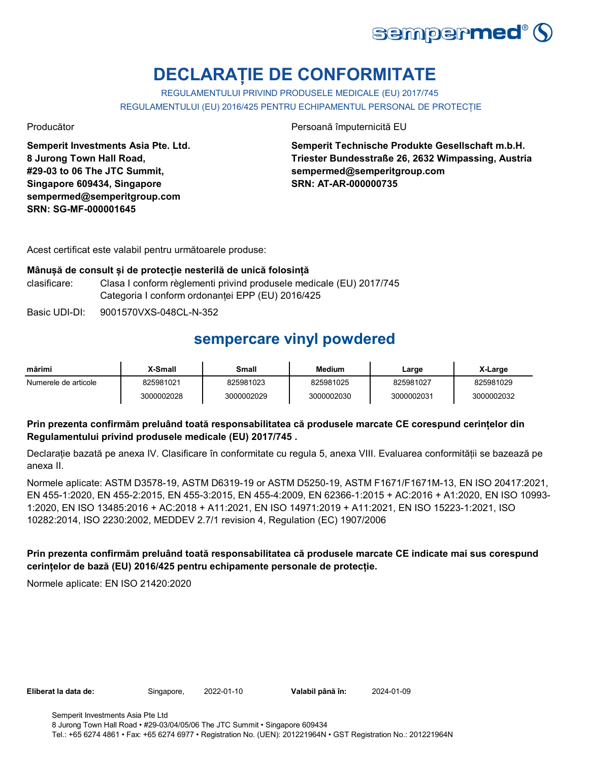

# **DECLARAȚIE DE CONFORMITATE**

REGULAMENTULUI PRIVIND PRODUSELE MEDICALE (EU) 2017/745 REGULAMENTULUI (EU) 2016/425 PENTRU ECHIPAMENTUL PERSONAL DE PROTECȚIE

**Semperit Investments Asia Pte. Ltd. 8 Jurong Town Hall Road, #29-03 to 06 The JTC Summit, Singapore 609434, Singapore sempermed@semperitgroup.com SRN: SG-MF-000001645**

Producător Persoană împuternicită EU

**Semperit Technische Produkte Gesellschaft m.b.H. Triester Bundesstraße 26, 2632 Wimpassing, Austria sempermed@semperitgroup.com SRN: AT-AR-000000735**

Acest certificat este valabil pentru următoarele produse:

#### **Mânușă de consult și de protecție nesterilă de unică folosință**

clasificare: Clasa I conform règlementi privind produsele medicale (EU) 2017/745 Categoria I conform ordonanței EPP (EU) 2016/425

Basic UDI-DI: 9001570VXS-048CL-N-352

## **sempercare vinyl powdered**

| mărimi               | X-Small    | Small      | <b>Medium</b> | Large      | X-Large    |
|----------------------|------------|------------|---------------|------------|------------|
| Numerele de articole | 825981021  | 825981023  | 825981025     | 825981027  | 825981029  |
|                      | 3000002028 | 3000002029 | 3000002030    | 3000002031 | 3000002032 |

### **Prin prezenta confirmăm preluând toată responsabilitatea că produsele marcate CE corespund cerințelor din Regulamentului privind produsele medicale (EU) 2017/745 .**

Declarație bazată pe anexa IV. Clasificare în conformitate cu regula 5, anexa VIII. Evaluarea conformității se bazează pe anexa II.

Normele aplicate: ASTM D3578-19, ASTM D6319-19 or ASTM D5250-19, ASTM F1671/F1671M-13, EN ISO 20417:2021, EN 455-1:2020, EN 455-2:2015, EN 455-3:2015, EN 455-4:2009, EN 62366-1:2015 + AC:2016 + A1:2020, EN ISO 10993- 1:2020, EN ISO 13485:2016 + AC:2018 + A11:2021, EN ISO 14971:2019 + A11:2021, EN ISO 15223-1:2021, ISO 10282:2014, ISO 2230:2002, MEDDEV 2.7/1 revision 4, Regulation (EC) 1907/2006

### **Prin prezenta confirmăm preluând toată responsabilitatea că produsele marcate CE indicate mai sus corespund cerințelor de bază (EU) 2016/425 pentru echipamente personale de protecție.**

Normele aplicate: EN ISO 21420:2020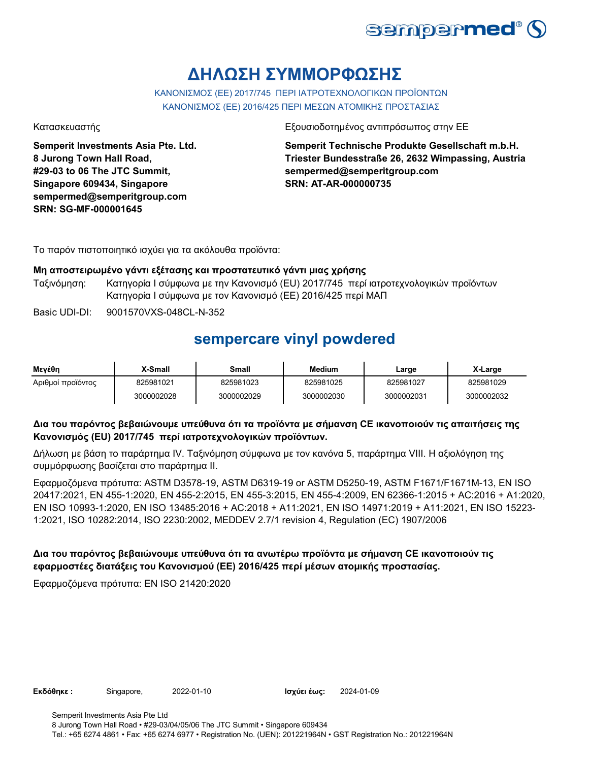

# **ΔΗΛΩΣΗ ΣΥΜΜΟΡΦΩΣΗΣ**

ΚΑΝΟΝΙΣΜΟΣ (EE) 2017/745 ΠΕΡΙ ΙΑΤΡΟΤΕΧΝΟΛΟΓΙΚΩΝ ΠΡΟΪΟΝΤΩΝ ΚΑΝΟΝΙΣΜΟΣ (ΕΕ) 2016/425 ΠΕΡΙ ΜΕΣΩΝ ΑΤΟΜΙΚΗΣ ΠΡΟΣΤΑΣΙΑΣ

**Semperit Investments Asia Pte. Ltd. 8 Jurong Town Hall Road, #29-03 to 06 The JTC Summit, Singapore 609434, Singapore sempermed@semperitgroup.com SRN: SG-MF-000001645**

Κατασκευαστής Εξουσιοδοτημένος αντιπρόσωπος στην ΕΕ

**Semperit Technische Produkte Gesellschaft m.b.H. Triester Bundesstraße 26, 2632 Wimpassing, Austria sempermed@semperitgroup.com SRN: AT-AR-000000735**

Το παρόν πιστοποιητικό ισχύει για τα ακόλουθα προϊόντα:

#### **Μη αποστειρωμένο γάντι εξέτασης και προστατευτικό γάντι μιας χρήσης**

- Ταξινόμηση: Κατηγορία I σύμφωνα με την Κανονισμό (EU) 2017/745 περί ιατροτεχνολογικών προϊόντων Κατηγορία I σύμφωνα με τον Κανονισμό (ΕΕ) 2016/425 περί ΜΑΠ
- Basic UDI-DI: 9001570VXS-048CL-N-352

### **sempercare vinyl powdered**

| Μενέθη            | X-Small    | Small      | <b>Medium</b> | Large      | X-Large    |
|-------------------|------------|------------|---------------|------------|------------|
| Αριθμοί προϊόντος | 825981021  | 825981023  | 825981025     | 825981027  | 825981029  |
|                   | 3000002028 | 3000002029 | 3000002030    | 3000002031 | 3000002032 |

#### **Δια του παρόντος βεβαιώνουμε υπεύθυνα ότι τα προϊόντα με σήμανση CE ικανοποιούν τις απαιτήσεις της Κανονισμός (EU) 2017/745 περί ιατροτεχνολογικών προϊόντων.**

Δήλωση με βάση το παράρτημα IV. Ταξινόμηση σύμφωνα με τον κανόνα 5, παράρτημα VIII. Η αξιολόγηση της συμμόρφωσης βασίζεται στο παράρτημα II.

Εφαρμοζόμενα πρότυπα: ASTM D3578-19, ASTM D6319-19 or ASTM D5250-19, ASTM F1671/F1671M-13, EN ISO 20417:2021, EN 455-1:2020, EN 455-2:2015, EN 455-3:2015, EN 455-4:2009, EN 62366-1:2015 + AC:2016 + A1:2020, EN ISO 10993-1:2020, EN ISO 13485:2016 + AC:2018 + A11:2021, EN ISO 14971:2019 + A11:2021, EN ISO 15223- 1:2021, ISO 10282:2014, ISO 2230:2002, MEDDEV 2.7/1 revision 4, Regulation (EC) 1907/2006

### **Δια του παρόντος βεβαιώνουμε υπεύθυνα ότι τα ανωτέρω προϊόντα με σήμανση CE ικανοποιούν τις εφαρμοστέες διατάξεις του Κανονισμού (ΕΕ) 2016/425 περί μέσων ατομικής προστασίας.**

Εφαρμοζόμενα πρότυπα: EN ISO 21420:2020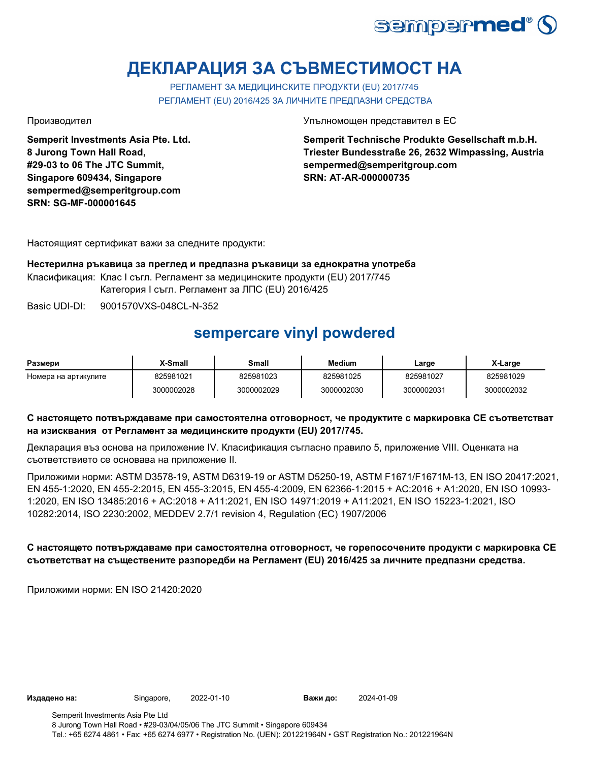

# **ДЕКЛАРАЦИЯ ЗА СЪВМЕСТИМОСТ НА**

РЕГЛАМЕНТ ЗА МЕДИЦИНСКИТЕ ПРОДУКТИ (EU) 2017/745 РЕГЛАМЕНТ (EU) 2016/425 ЗА ЛИЧНИТЕ ПРЕДПАЗНИ СРЕДСТВА

**Semperit Investments Asia Pte. Ltd. 8 Jurong Town Hall Road, #29-03 to 06 The JTC Summit, Singapore 609434, Singapore sempermed@semperitgroup.com SRN: SG-MF-000001645**

Производител Упълномощен представител в ЕС

**Semperit Technische Produkte Gesellschaft m.b.H. Triester Bundesstraße 26, 2632 Wimpassing, Austria sempermed@semperitgroup.com SRN: AT-AR-000000735**

Настоящият сертификат важи за следните продукти:

**Нестерилна ръкавица за преглед и предпазна ръкавици за еднократна употреба** Класификация: Клас I съгл. Регламент за медицинските продукти (EU) 2017/745 Категория I съгл. Регламент за ЛПС (EU) 2016/425

Basic UDI-DI: 9001570VXS-048CL-N-352

## **sempercare vinyl powdered**

| Размери              | X-Small    | Small      | <b>Medium</b> | Large      | X-Large    |
|----------------------|------------|------------|---------------|------------|------------|
| Номера на артикулите | 825981021  | 825981023  | 825981025     | 825981027  | 825981029  |
|                      | 3000002028 | 3000002029 | 3000002030    | 3000002031 | 3000002032 |

### **С настоящето потвърждаваме при самостоятелна отговорност, че продуктите с маркировка СЕ съответстват на изисквания от Регламент за медицинските продукти (EU) 2017/745.**

Декларация въз основа на приложение IV. Класификация съгласно правило 5, приложение VIII. Оценката на съответствието се основава на приложение II.

Приложими норми: ASTM D3578-19, ASTM D6319-19 or ASTM D5250-19, ASTM F1671/F1671M-13, EN ISO 20417:2021, EN 455-1:2020, EN 455-2:2015, EN 455-3:2015, EN 455-4:2009, EN 62366-1:2015 + AC:2016 + A1:2020, EN ISO 10993- 1:2020, EN ISO 13485:2016 + AC:2018 + A11:2021, EN ISO 14971:2019 + A11:2021, EN ISO 15223-1:2021, ISO 10282:2014, ISO 2230:2002, MEDDEV 2.7/1 revision 4, Regulation (EC) 1907/2006

### **С настоящето потвърждаваме при самостоятелна отговорност, че горепосочените продукти с маркировка СЕ съответстват на съществените разпоредби на Регламент (EU) 2016/425 за личните предпазни средства.**

Приложими норми: EN ISO 21420:2020

**Издадено на:** Singapore, 2022-01-10 **Важи до:** 2024-01-09